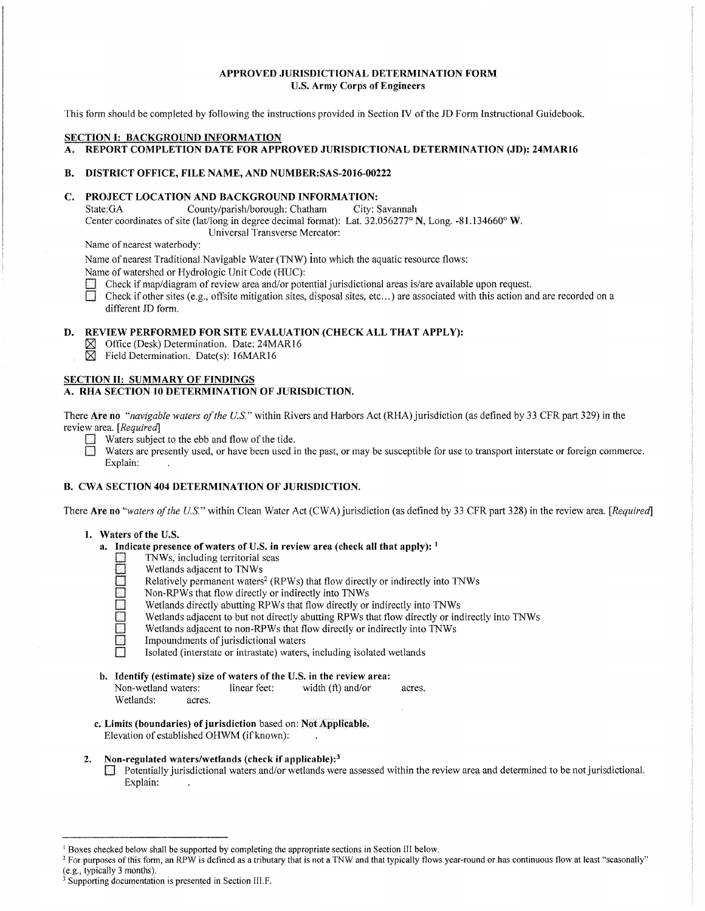#### APPROVED JURISDICTIONAL DETERMINATION FORM U.S. Army Corps of Engineers

This form should be completed by following the instructions provided in Section IV ofthe JD Form Instructional Guidebook.

# SECTION I: BACKGROUND INFORMATION

### REPORT COMPLETION DATE FOR APPROVED JURISDICTIONAL DETERMINATION (JD): 24MAR16

### B. DISTRICT OFFICE, FILE NAME, AND NUMBER:SAS-2016-00222

### C. PROJECT LOCATION AND BACKGROUND INFORMATION:

State:GA County/parish/borough: Chatham City: Savannah Center coordinates of site (lat/long in degree decimal format): Lat. 32.056277° N, Long. -81.134660° W. Universal Transverse Mercator:

Name of nearest waterbody:

Name of nearest Traditional Navigable Water (TNW) into which the aquatic resource flows:

Name of watershed or Hydrologic Unit Code (HUC):

- Check if map/diagram of review area and/or potential jurisdictional areas is/are available upon request.
- Check if other sites (e.g., offsite mitigation sites, disposal sites, etc...) are associated with this action and are recorded on a different JD form.

### D. REVIEW PERFORMED FOR SITE EVALUATION (CHECK ALL THAT APPLY):

- lZ! Office (Desk) Determination. Date: 24MAR 16
- $\boxtimes$  Field Determination. Date(s): 16MAR16

#### SECTION II: SUMMARY OF FINDINGS A. RHA SECTION 10 DETERMINATION OF JURISDICTION.

There Are no *"navigable waters ofthe U.S."* within Rivers and Harbors Act (RHA) jurisdiction (as defined by 33 CFR part 329) in the review area. *[Required]*

- $\Box$  Waters subject to the ebb and flow of the tide.
- Waters are presently used, or have been used in the past, or may be susceptible for use to transport interstate or foreign commerce. Explain:

### B. CWA SECTION 404 DETERMINATION OF JURISDICTION.

There Are no *'"waters ofthe U.S."* within Clean Water Act (CWA) jurisdiction (as defined by 33 CFR part 328) in the review area. *[Required]* 

#### 1. Waters of the U.S.

- a. Indicate presence of waters of U.S. in review area (check all that apply):  $<sup>1</sup>$ </sup>
	- $\Box$  TNWs, including territorial seas<br>
	Wetlands adiacent to TNWs
		- Wetlands adjacent to TNWs
		- Relatively permanent waters<sup>2</sup> (RPWs) that flow directly or indirectly into TNWs
		- Non-RPWs that flow directly or indirectly into TNWs
		- Wetlands directly abutting RPWs that flow directly or indirectly into TNWs
		- Wetlands adjacent to but not directly abutting RPWs that flow directly or indirectly into TNWs
		- Wetlands adjacent to non-RPWs that flow directly or indirectly into TNWs
		- Impoundments of jurisdictional waters
		- 0 Isolated (interstate or intrastate) waters, including isolated wetlands
- b. Identify (estimate) size of waters of the U.S. in the review area: Non-wetland waters: linear feet: width (ft) and/or acres. Wetlands: acres.
- c. Limits (boundaries) of jurisdiction based on: Not Applicable. Elevation of established OHWM (if known):
- 2. Non-regulated waters/wetlands (check if applicable):<sup>3</sup> **EXECUTE:** Potentially jurisdictional waters and/or wetlands were assessed within the review area and determined to be not jurisdictional. Explain:

<sup>&</sup>lt;sup>1</sup> Boxes checked below shall be supported by completing the appropriate sections in Section III below.

<sup>&</sup>lt;sup>2</sup> For purposes of this form, an RPW is defined as a tributary that is not a TNW and that typically flows year-round or has continuous flow at least "seasonally" (e.g., typically 3 months).

Supporting documentation is presented in Section III.F.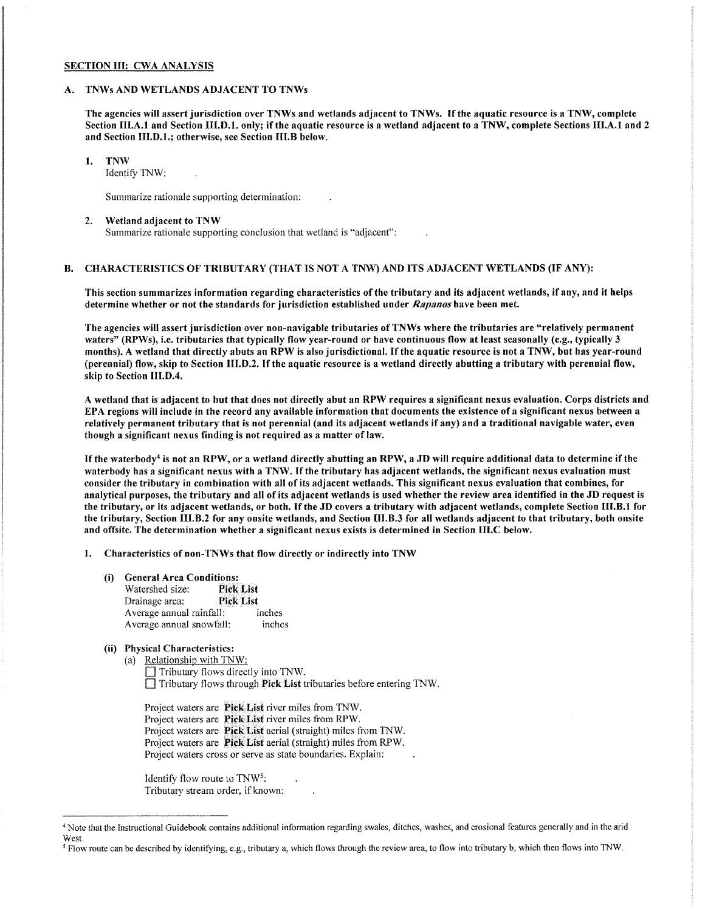#### SECTION III: CWA ANALYSIS

### A. TNWs AND WETLANDS ADJACENT TO TNWs

The agencies will assert jurisdiction over TNWs and wetlands adjacent to TNWs. Ifthe aquatic resource is a TNW, complete Section III.A.1 and Section III.D.1. only; if the aquatic resource is a wetland adjacent to a TNW, complete Sections III.A.1 and 2 and Section III.D.1.; otherwise, see Section III.B below.

1. TNW

Identify TNW:

Summarize rationale supporting determination:

#### 2. Wetland adjacent to TNW Summarize rationale supporting conclusion that wetland is "adjacent":

### B. CHARACTERISTICS OF TRIBUTARY (THAT IS NOT A TNW) AND ITS ADJACENT WETLANDS (IF ANY):

This section summarizes information regarding characteristics of the tributary and its adjacent wetlands, if any, and it helps determine whether or not the standards for jurisdiction established under Rapanos have been met.

The agencies will assert jurisdiction over non-navigable tributaries of TNWs where the tributaries are "relatively permanent waters" (RPWs), i.e. tributaries that typically flow year-round or have continuous flow at least seasonally (e.g., typically 3 months). A wetland that directly abuts an RPW is also jurisdictional. Ifthe aquatic resource is not a TNW, but has year-round (perennial) flow, skip to Section III.D.2. Ifthe aquatic resource is a wetland directly abutting a tributary with perennial flow, skip to Section III.D.4.

A wetland that is adjacent to but that does not directly abut an RPW requires a significant nexus evaluation. Corps districts and EPA regions will include in the record any available information that documents the existence of a significant nexus between a relatively permanent tributary that is not perennial (and its adjacent wetlands if any) and a traditional navigable water, even though a significant nexus finding is not required as a matter of law.

If the waterbody<sup>4</sup> is not an RPW, or a wetland directly abutting an RPW, a JD will require additional data to determine if the waterbody has a significant nexus with a TNW. If the tributary has adjacent wetlands, the significant nexus evaluation must consider the tributary in combination with all of its adjacent wetlands. This significant nexus evaluation that combines, for analytical purposes, the tributary and all of its adjacent wetlands is used whether the review area identified in the JD request is the tributary, or its adjacent wetlands, or both. Ifthe JD covers a tributary with adjacent wetlands, complete Section III.B.1 for the tributary, Section 111.B.2 for any onsite wetlands, and Section 111.B.3 for all wetlands adjacent to that tributary, both onsite and offsite. The determination whether a significant nexus exists is determined in Section 111.C below.

1. Characteristics of non-TNWs that flow directly or indirectly into TNW

(i) General Area Conditions:

| Watershed size:          | <b>Pick List</b> |        |
|--------------------------|------------------|--------|
| Drainage area:           | <b>Pick List</b> |        |
| Average annual rainfall: | inches           |        |
| Average annual snowfall: |                  | inches |

# (ii) Physical Characteristics:

(a) Relationship with TNW:  $\Box$  Tributary flows directly into TNW. □ Tributary flows through Pick List tributaries before entering TNW.

Project waters are Pick List river miles from TNW. Project waters are Pick List river miles from RPW. Project waters are Pick List aerial (straight) miles from TNW. Project waters are **Pick List** aerial (straight) miles from RPW. Project waters cross or serve as state boundaries. Explain:

Identify flow route to TNW5: Tributary stream order, if known:

<sup>4</sup> Note that the Instructional Guidebook contains additional information regarding swales, ditches, washes, and erosional features generally and in the arid West.

<sup>5</sup> Flow route can be described by identifying, e.g., tributary a, which flows through the review area, to flow into tributary b, which then flows into TNW.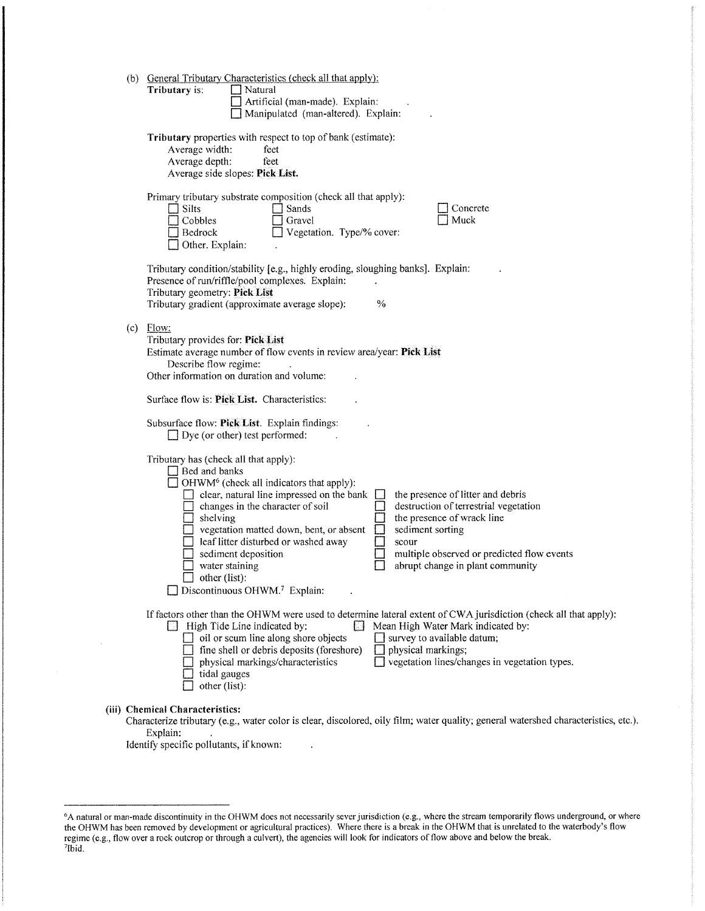| (b) | General Tributary Characteristics (check all that apply):<br>Tributary is:<br>Natural<br>Artificial (man-made). Explain:<br>Manipulated (man-altered). Explain:                                                                                                                                                                                                                                                                                                                                                                                                                                                                                         |
|-----|---------------------------------------------------------------------------------------------------------------------------------------------------------------------------------------------------------------------------------------------------------------------------------------------------------------------------------------------------------------------------------------------------------------------------------------------------------------------------------------------------------------------------------------------------------------------------------------------------------------------------------------------------------|
|     | Tributary properties with respect to top of bank (estimate):<br>Average width:<br>feet<br>Average depth:<br>feet<br>Average side slopes: Pick List.                                                                                                                                                                                                                                                                                                                                                                                                                                                                                                     |
|     | Primary tributary substrate composition (check all that apply):<br><b>Silts</b><br>Sands<br>Concrete<br>Muck<br>Cobbles<br>Gravel<br>$\Box$ Vegetation. Type/% cover:<br>Bedrock<br>Other. Explain:                                                                                                                                                                                                                                                                                                                                                                                                                                                     |
|     | Tributary condition/stability [e.g., highly eroding, sloughing banks]. Explain:<br>Presence of run/riffle/pool complexes. Explain:<br>Tributary geometry: Pick List<br>$\%$<br>Tributary gradient (approximate average slope):                                                                                                                                                                                                                                                                                                                                                                                                                          |
| (c) | Flow:<br>Tributary provides for: Pick List<br>Estimate average number of flow events in review area/year: Pick List<br>Describe flow regime:<br>Other information on duration and volume:                                                                                                                                                                                                                                                                                                                                                                                                                                                               |
|     | Surface flow is: Pick List. Characteristics:                                                                                                                                                                                                                                                                                                                                                                                                                                                                                                                                                                                                            |
|     | Subsurface flow: Pick List. Explain findings:<br>$\Box$ Dye (or other) test performed:                                                                                                                                                                                                                                                                                                                                                                                                                                                                                                                                                                  |
|     | Tributary has (check all that apply):<br>$\Box$ Bed and banks<br>OHWM <sup>6</sup> (check all indicators that apply):<br>clear, natural line impressed on the bank<br>the presence of litter and debris<br>$\mathbf{I}$<br>changes in the character of soil<br>destruction of terrestrial vegetation<br>the presence of wrack line<br>shelving<br>sediment sorting<br>vegetation matted down, bent, or absent<br>leaf litter disturbed or washed away<br>scour<br>sediment deposition<br>multiple observed or predicted flow events<br>abrupt change in plant community<br>water staining<br>other (list):<br>Discontinuous OHWM. <sup>7</sup> Explain: |
|     | If factors other than the OHWM were used to determine lateral extent of CWA jurisdiction (check all that apply):<br>High Tide Line indicated by:<br>Mean High Water Mark indicated by:<br>ि।<br>oil or scum line along shore objects<br>survey to available datum;<br>fine shell or debris deposits (foreshore)<br>physical markings;<br>vegetation lines/changes in vegetation types.<br>physical markings/characteristics<br>tidal gauges<br>other (list):                                                                                                                                                                                            |
|     | <b>Chemical Characteristics:</b><br>Characterize tributary (e.g., water color is clear, discolored, oily film; water quality; general watershed characteristics, etc.).                                                                                                                                                                                                                                                                                                                                                                                                                                                                                 |

Explain:

Identify specific pollutants, if known:

**(iii)** 

 $\bar{r}$ 

 $\ddot{\phantom{a}}$ 

<sup>&</sup>lt;sup>6</sup>A natural or man-made discontinuity in the OHWM does not necessarily sever jurisdiction (e.g., where the stream temporarily flows underground, or where<br>the OHWM has been removed by development or agricultural practices)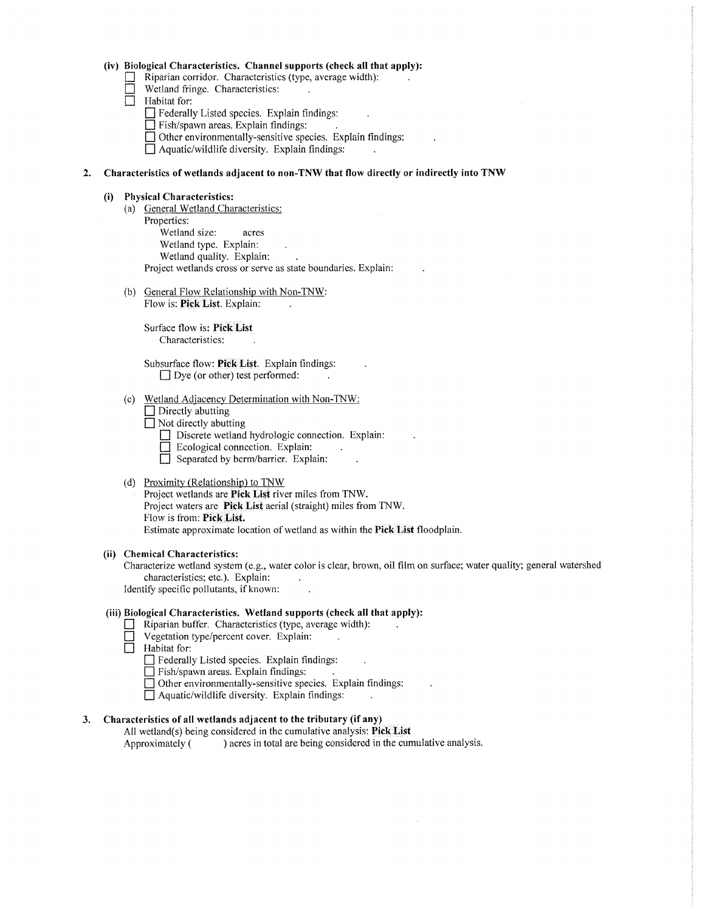## (iv) **Biological Characteristics. Channel supports (check all that apply):**

- 0 Riparian corridor. Characteristics (type, average width):
- $\Box$  Wetland fringe. Characteristics:
- $\Box$  Habitat for:
	- $\Box$  Federally Listed species. Explain findings:
	- $\Box$  Fish/spawn areas. Explain findings:
	- $\Box$  Other environmentally-sensitive species. Explain findings:
	- $\Box$  Aquatic/wildlife diversity. Explain findings:

#### **2. Characteristics of wetlands adjacent to non-TNW that flow directly or indirectly into TNW**

#### **(i) Physical Characteristics:**

- (a) General Wetland Characteristics: Properties: Wetland size: acres
	- Wetland type. Explain: Wetland quality. Explain:

Project wetlands cross or serve as state boundaries. Explain:

(b) General Flow Relationship with Non-TNW: Flow is: **Pick List.** Explain:

Surface flow is: **Pick List** Characteristics:

Subsurface flow: **Pick List.** Explain findings:  $\Box$  Dye (or other) test performed:

- (c) Wetland Adjacency Determination with Non-TNW:
	- $\Box$  Directly abutting
	- $\Box$  Not directly abutting
		- Discrete wetland hydrologic connection. Explain:
		- $\Box$  Ecological connection. Explain:
		- $\overline{\Box}$  Separated by berm/barrier. Explain:

### (d) Proximity (Relationship) to TNW

Project wetlands are **Pick List** river miles from TNW. Project waters are **Pick List** aerial (straight) miles from TNW. Flow is from: **Pick List.** Estimate approximate location of wetland as within the **Pick List** floodplain.

#### **(ii) Chemical Characteristics:**

Characterize wetland system (e.g., water color is clear, brown, oil film on surface; water quality; general watershed characteristics; etc.). Explain: Identify specific pollutants, if known:

# **(iii) Biological Characteristics. Wetland supports (check all that apply):**

- Riparian buffer. Characteristics (type, average width):
- Vegetation type/percent cover. Explain:
- $\Box$  Habitat for:
	- 0 Federally Listed species. Explain findings:
	- Fish/spawn areas. Explain findings:
	- $\Box$  Other environmentally-sensitive species. Explain findings:
	- $\Box$  Aquatic/wildlife diversity. Explain findings:

# **3. Characteristics of all wetlands adjacent to the tributary (if any)**

All wetland(s) being considered in the cumulative analysis: **Pick List**  Approximately ( ) acres in total are being considered in the cumulative analysis.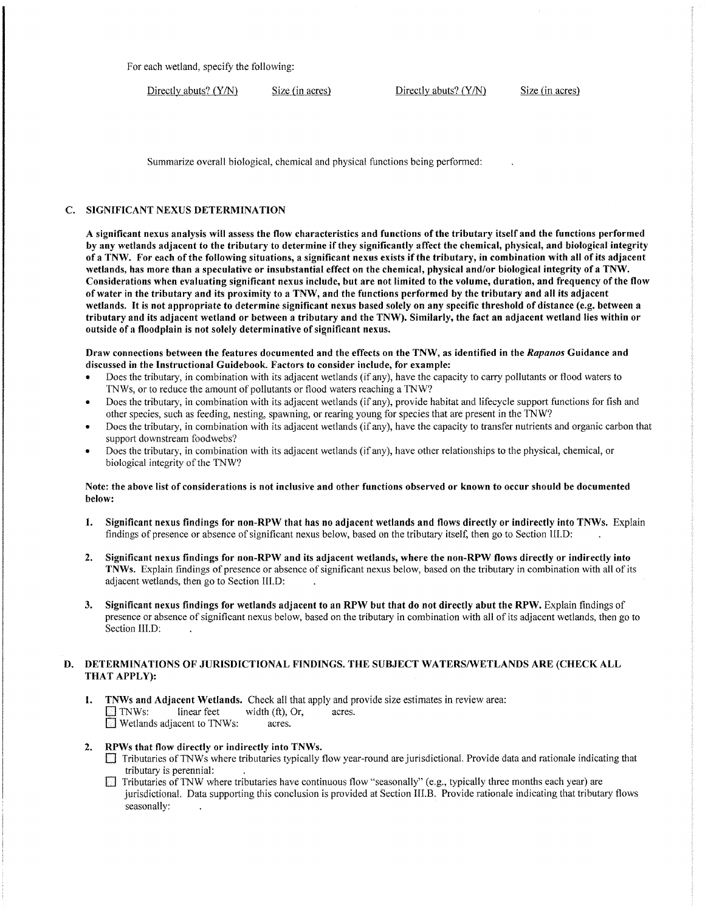For each wetland, specify the following:

Directly abuts? (Y/N) Size (in acres) Directly abuts? (Y/N) Size (in acres)

Summarize overall biological, chemical and physical functions being performed:

### C. SIGNIFICANT NEXUS DETERMINATION

A significant nexus analysis will assess the flow characteristics and functions of the tributary itself and the functions performed by any wetlands adjacent to the tributary to determine if they significantly affect the chemical, physical, and biological integrity of a TNW. For each of the following situations, a significant nexus exists ifthe tributary, in combination with all of its adjacent wetlands, has more than a speculative or insubstantial effect on the chemical, physical and/or biological integrity of a TNW. Considerations when evaluating significant nexus include, but are not limited to the volume, duration, and frequency of the flow of water in the tributary and its proximity to a TNW, and the functions performed by the tributary and all its adjacent wetlands. It is not appropriate to determine significant nexus based solely on any specific threshold of distance (e.g. between a tributary and its adjacent wetland or between a tributary and the TNW). Similarly, the fact an adjacent wetland lies within or outside of a floodplain is not solely determinative of significant nexus.

Draw connections between the features documented and the effects on the TNW, as identified in the *Rapanos* Guidance and discussed in the Instructional Guidebook. Factors to consider include, for example:

- Does the tributary, in combination with its adjacent wetlands (if any), have the capacity to carry pollutants or flood waters to TNWs, or to reduce the amount of pollutants or flood waters reaching a TNW?
- Does the tributary, in combination with its adjacent wetlands (if any), provide habitat and lifecycle support functions for fish and other species, such as feeding, nesting, spawning, or rearing young for species that are present in the TNW?
- Does the tributary, in combination with its adjacent wetlands (if any), have the capacity to transfer nutrients and organic carbon that support downstream foodwebs?
- Does the tributary, in combination with its adjacent wetlands (if any), have other relationships to the physical, chemical, or biological integrity of the TNW?

### Note: the above list of considerations is not inclusive and other functions observed or known to occur should be documented below:

- 1. Significant nexus findings for non-RPW that has no adjacent wetlands and flows directly or indirectly into TNWs. Explain findings of presence or absence of significant nexus below, based on the tributary itself, then go to Section III.D:
- 2. Significant nexus findings for non-RPW and its adjacent wetlands, where the non-RPW flows directly or indirectly into TNWs. Explain findings of presence or absence of significant nexus below, based on the tributary in combination with all of its adjacent wetlands, then go to Section III.D:
- 3. Significant nexus findings for wetlands adjacent to an RPW but that do not directly abut the RPW. Explain findings of presence or absence of significant nexus below, based on the tributary in combination with all of its adjacent wetlands, then go to Section III.D:

## D. DETERMINATIONS OF JURISDICTIONAL FINDINGS. THE SUBJECT WATERS/WETLANDS ARE (CHECK ALL THAT APPLY):

1. **TNWs and Adjacent Wetlands.** Check all that apply and provide size estimates in review area:<br> $\Box$  TNWs: linear feet width (ft), Or, acres.  $\Box$  TNWs: linear feet width (ft), Or, acres. **E** Wetlands adjacent to TNWs: acres.

# 2. RPWs that flow directly or indirectly into TNWs.

- 0 Tributaries ofTNWs where tributaries typically flow year-round are jurisdictional. Provide data and rationale indicating that tributary is perennial:
- Tributaries of TNW where tributaries have continuous flow "seasonally" (e.g., typically three months each year) are jurisdictional. Data supporting this conclusion is provided at Section III.B. Provide rationale indicating that tributary flows seasonally: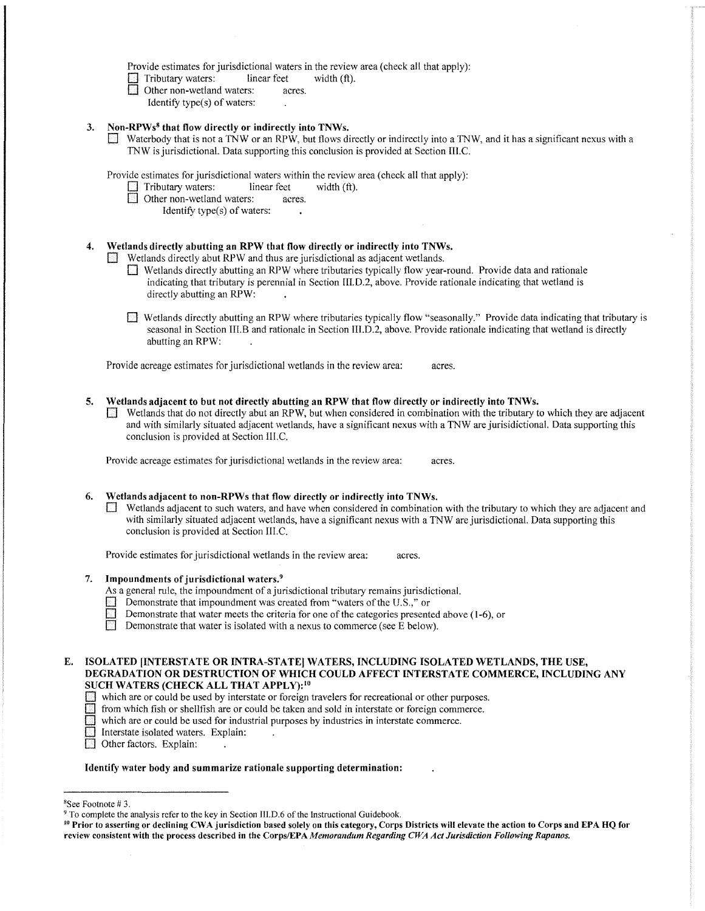Provide estimates for jurisdictional waters in the review area (check all that apply):<br>  $\Box$  Tributary waters: linear feet width (ft).

 $\Box$  Tributary waters: linear feet  $\Box$  Other non-wetland waters: acres.

- $\Box$  Other non-wetland waters:
	- Identify type(s) of waters:

### 3. Non-RPWs<sup>8</sup> that flow directly or indirectly into TNWs.

 $\Box$  Waterbody that is not a TNW or an RPW, but flows directly or indirectly into a TNW, and it has a significant nexus with a TNW is jurisdictional. Data supporting this conclusion is provided at Section III.C.

Provide estimates for jurisdictional waters within the review area (check all that apply):<br>  $\Box$  Tributary waters: linear feet width (ft).

 $\overline{\phantom{a}}$ 

 $\Box$  Tributary waters:<br> $\Box$  Other non-wetland

Other non-wetland waters: acres. Identify type(s) of waters:

Wetlands directly abutting an RPW that flow directly or indirectly into TNWs. Wetlands directly abut RPW and thus are jurisdictional as adjacent wetlands.

- $\Box$  Wetlands directly abutting an RPW where tributaries typically flow year-round. Provide data and rationale indicating that tributary is perennial in Section III.D.2, above. Provide rationale indicating that wetland is directly abutting an RPW:
- D Wetlands directly abutting an RPW where tributaries typically flow "seasonally." Provide data indicating that tributary is seasonal in Section III.B and rationale in Section IIl.D.2, above. Provide rationale indicating that wetland is directly abutting an RPW:

Provide acreage estimates for jurisdictional wetlands in the review area: acres.

5. Wetlands adjacent to but not directly abutting an RPW that flow directly or indirectly into TNWs. Wetlands that do not directly abut an RPW, but when considered in combination with the tributary to which they are adjacent and with similarly situated adjacent wetlands, have a significant nexus with a TNW are jurisidictional. Data supporting this conclusion is provided at Section III.C.

Provide acreage estimates for jurisdictional wetlands in the review area: acres.

# 6. Wetlands adjacent to non-RPWs that flow directly or indirectly into TNWs.

Wetlands adjacent to such waters, and have when considered in combination with the tributary to which they are adjacent and with similarly situated adjacent wetlands, have a significant nexus with a TNW are jurisdictional. Data supporting this conclusion is provided at Section III.C.

Provide estimates for jurisdictional wetlands in the review area: acres.

#### 7. Impoundments of jurisdictional waters.<sup>9</sup>

As a general rule, the impoundment of a jurisdictional tributary remains jurisdictional.

- **EXECUTE:** Demonstrate that impoundment was created from "waters of the U.S.," or
- Demonstrate that water meets the criteria for one of the categories presented above  $(1-6)$ , or
- Demonstrate that water is isolated with a nexus to commerce (see  $\overline{E}$  below).

## E. ISOLATED [INTERSTATE OR INTRA-STATE) WATERS, INCLUDING ISOLATED WETLANDS, THE USE, DEGRADATION OR DESTRUCTION OF WHICH COULD AFFECT INTERSTATE COMMERCE, INCLUDING ANY SUCH WATERS (CHECK ALL THAT APPLY): 16

- D which are or could be used by interstate or foreign travelers for recreational or other purposes.
- D from which fish or shellfish are or could be taken and sold in interstate or foreign commerce.
- D which are or could be used for industrial purposes by industries in interstate commerce.
- Interstate isolated waters. Explain:
- Other factors. Explain:

#### Identify water body and summarize rationale supporting determination:

<sup>8</sup> See Footnote # 3.

<sup>&</sup>lt;sup>9</sup> To complete the analysis refer to the key in Section III.D.6 of the Instructional Guidebook.

<sup>&</sup>lt;sup>10</sup> Prior to asserting or declining CWA jurisdiction based solely on this category, Corps Districts will elevate the action to Corps and EPA HQ for review consistent with the process described in the Corps/EPA *Memorandum Regarding CWA Act Jurisdiction Following Rapanos.*